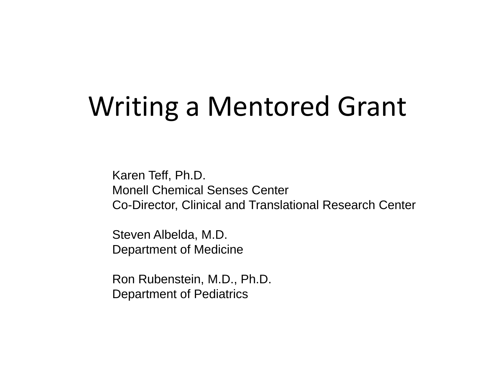## Writing a Mentored Grant

Karen Teff, Ph.D. Monell Chemical Senses Center Co-Director, Clinical and Translational Research Center

Steven Albelda, M.D. Department of Medicine

Ron Rubenstein, M.D., Ph.D. Department of Pediatrics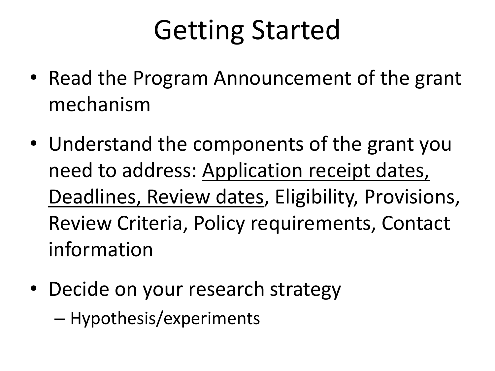## Getting Started

- Read the Program Announcement of the grant mechanism
- Understand the components of the grant you need to address: Application receipt dates, Deadlines, Review dates, Eligibility, Provisions, Review Criteria, Policy requirements, Contact information
- Decide on your research strategy
	- Hypothesis/experiments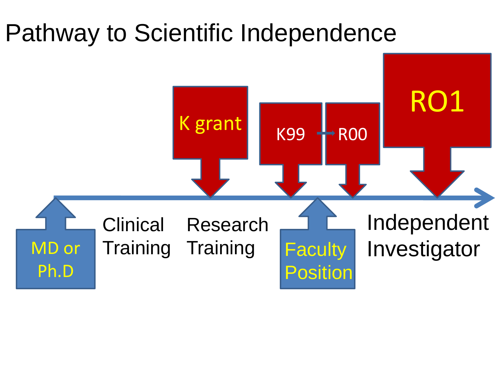### Pathway to Scientific Independence

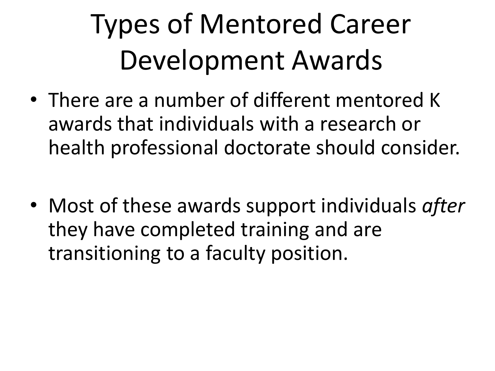## Types of Mentored Career Development Awards

- There are a number of different mentored K awards that individuals with a research or health professional doctorate should consider.
- Most of these awards support individuals *after* they have completed training and are transitioning to a faculty position.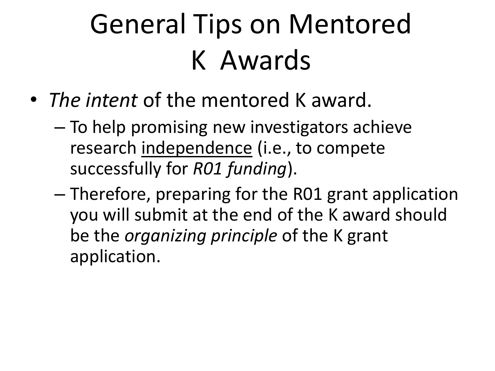## General Tips on Mentored K Awards

- *The intent* of the mentored K award.
	- To help promising new investigators achieve research independence (i.e., to compete successfully for *R01 funding*).
	- Therefore, preparing for the R01 grant application you will submit at the end of the K award should be the *organizing principle* of the K grant application.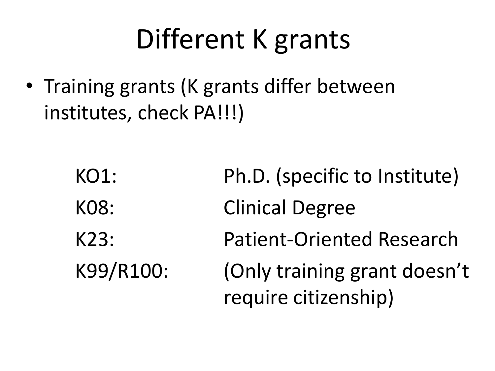### Different K grants

• Training grants (K grants differ between institutes, check PA!!!)

| KO1:      | Ph.D. (specific to Institute)    |
|-----------|----------------------------------|
| KO8:      | <b>Clinical Degree</b>           |
| K23:      | <b>Patient-Oriented Research</b> |
| K99/R100: | (Only training grant doesn't     |
|           | require citizenship)             |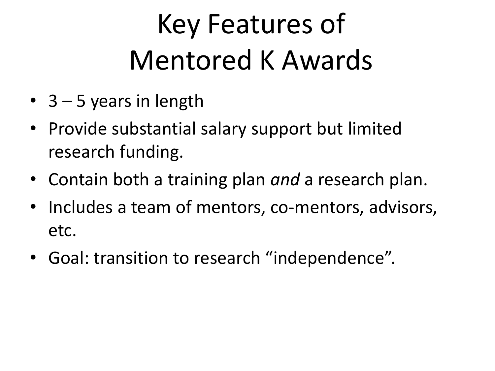## Key Features of Mentored K Awards

- $3 5$  years in length
- Provide substantial salary support but limited research funding.
- Contain both a training plan *and* a research plan.
- Includes a team of mentors, co-mentors, advisors, etc.
- Goal: transition to research "independence".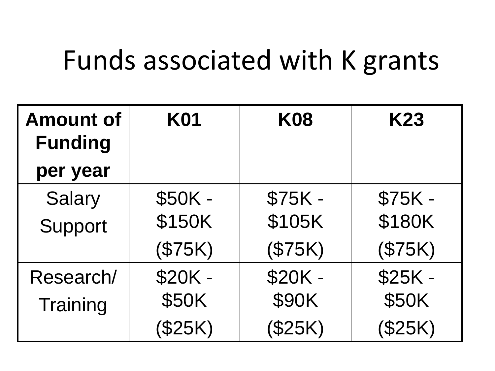### Funds associated with K grants

| <b>Amount of</b><br><b>Funding</b> | <b>K01</b> | <b>K08</b> | K23      |
|------------------------------------|------------|------------|----------|
| per year                           |            |            |          |
| <b>Salary</b>                      | \$50K -    | $$75K -$   | \$75K -  |
| Support                            | \$150K     | \$105K     | \$180K   |
|                                    | (\$75K)    | (\$75K)    | (\$75K)  |
| Research/                          | \$20K -    | \$20K -    | $$25K -$ |
| Training                           | \$50K      | \$90K      | \$50K    |
|                                    | (\$25K)    | \$25K)     | (\$25K)  |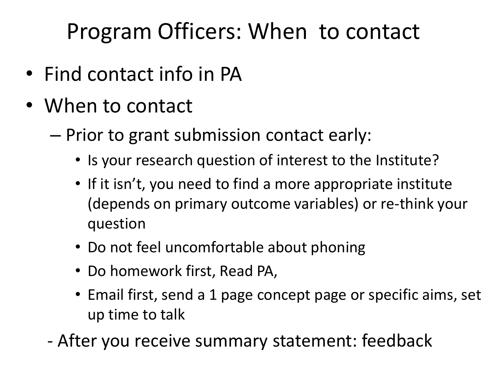Program Officers: When to contact

- Find contact info in PA
- When to contact
	- Prior to grant submission contact early:
		- Is your research question of interest to the Institute?
		- If it isn't, you need to find a more appropriate institute (depends on primary outcome variables) or re-think your question
		- Do not feel uncomfortable about phoning
		- Do homework first, Read PA,
		- Email first, send a 1 page concept page or specific aims, set up time to talk
	- After you receive summary statement: feedback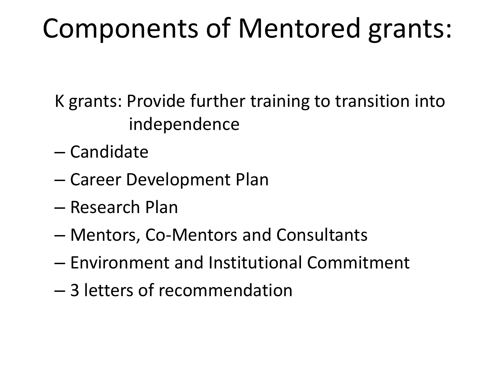### Components of Mentored grants:

K grants: Provide further training to transition into independence

- Candidate
- Career Development Plan
- Research Plan
- Mentors, Co-Mentors and Consultants
- Environment and Institutional Commitment
- 3 letters of recommendation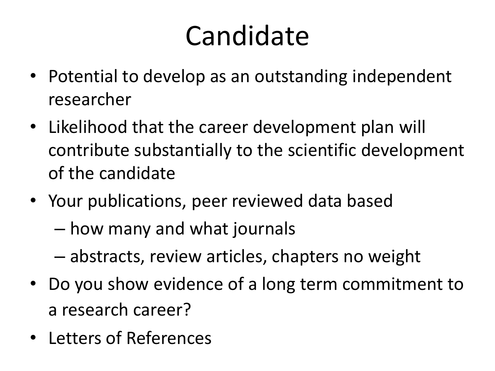## Candidate

- Potential to develop as an outstanding independent researcher
- Likelihood that the career development plan will contribute substantially to the scientific development of the candidate
- Your publications, peer reviewed data based
	- how many and what journals
	- abstracts, review articles, chapters no weight
- Do you show evidence of a long term commitment to a research career?
- Letters of References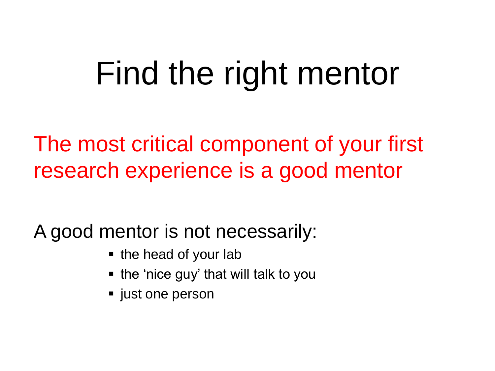# Find the right mentor

The most critical component of your first research experience is a good mentor

A good mentor is not necessarily:

- the head of your lab
- the 'nice guy' that will talk to you
- just one person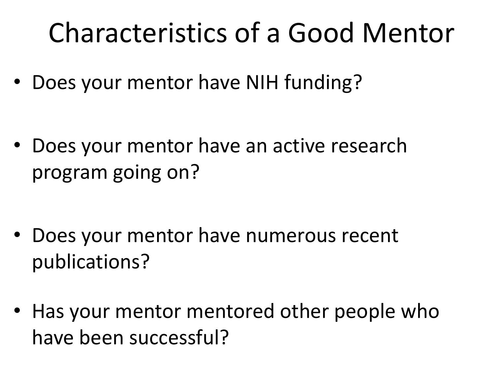### Characteristics of a Good Mentor

• Does your mentor have NIH funding?

• Does your mentor have an active research program going on?

- Does your mentor have numerous recent publications?
- Has your mentor mentored other people who have been successful?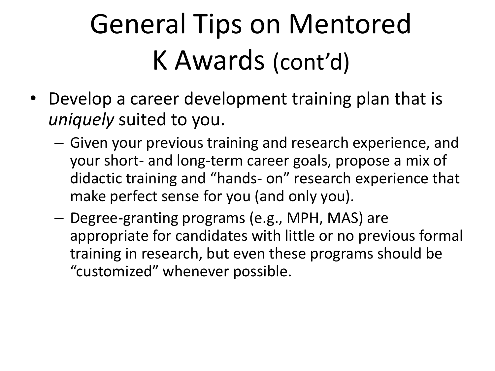# General Tips on Mentored K Awards (cont'd)

- Develop a career development training plan that is *uniquely* suited to you.
	- Given your previous training and research experience, and your short- and long-term career goals, propose a mix of didactic training and "hands- on" research experience that make perfect sense for you (and only you).
	- Degree-granting programs (e.g., MPH, MAS) are appropriate for candidates with little or no previous formal training in research, but even these programs should be "customized" whenever possible.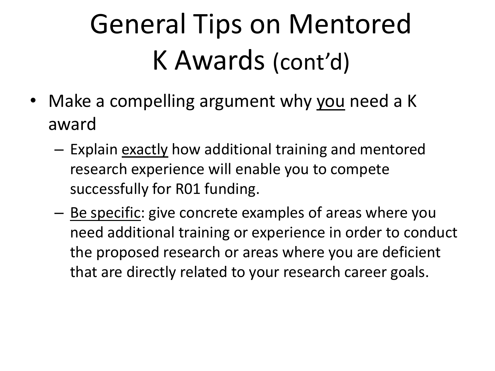# General Tips on Mentored K Awards (cont'd)

- Make a compelling argument why you need a K award
	- Explain exactly how additional training and mentored research experience will enable you to compete successfully for R01 funding.
	- <u>Be specific</u>: give concrete examples of areas where you need additional training or experience in order to conduct the proposed research or areas where you are deficient that are directly related to your research career goals.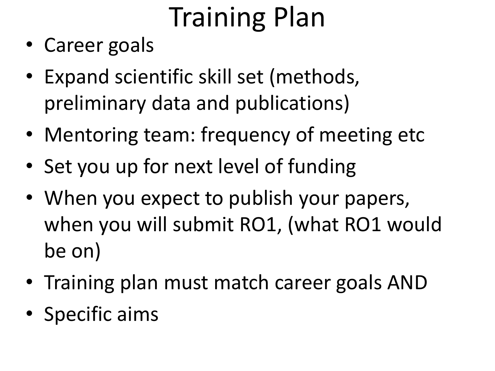# Training Plan

- Career goals
- Expand scientific skill set (methods, preliminary data and publications)
- Mentoring team: frequency of meeting etc
- Set you up for next level of funding
- When you expect to publish your papers, when you will submit RO1, (what RO1 would be on)
- Training plan must match career goals AND
- Specific aims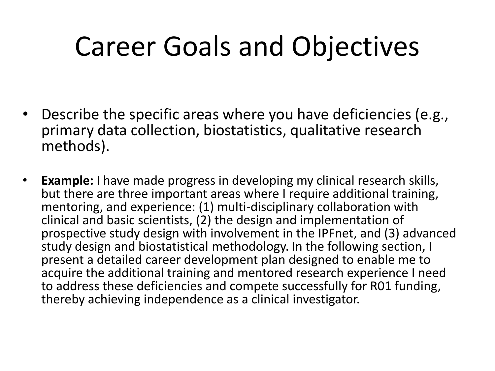## Career Goals and Objectives

- Describe the specific areas where you have deficiencies (e.g., primary data collection, biostatistics, qualitative research methods).
- **Example:** I have made progress in developing my clinical research skills, but there are three important areas where I require additional training, mentoring, and experience: (1) multi-disciplinary collaboration with clinical and basic scientists, (2) the design and implementation of prospective study design with involvement in the IPFnet, and (3) advanced study design and biostatistical methodology. In the following section, I present a detailed career development plan designed to enable me to acquire the additional training and mentored research experience I need to address these deficiencies and compete successfully for R01 funding, thereby achieving independence as a clinical investigator.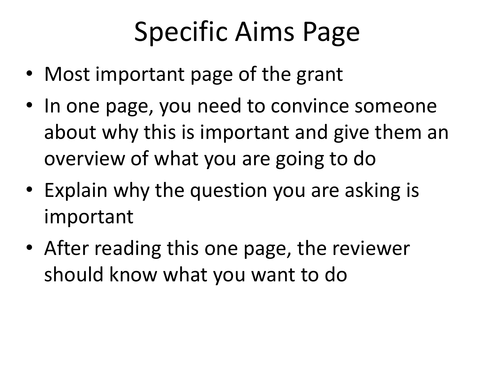## Specific Aims Page

- Most important page of the grant
- In one page, you need to convince someone about why this is important and give them an overview of what you are going to do
- Explain why the question you are asking is important
- After reading this one page, the reviewer should know what you want to do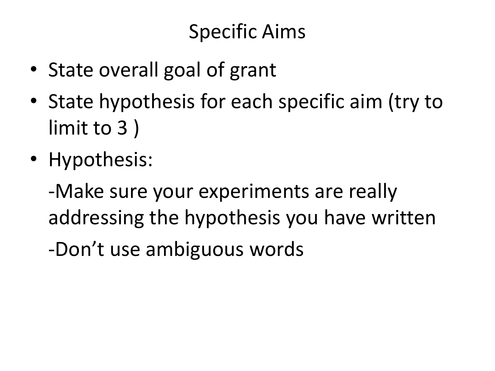#### Specific Aims

- State overall goal of grant
- State hypothesis for each specific aim (try to limit to 3 )
- Hypothesis:

-Make sure your experiments are really addressing the hypothesis you have written

-Don't use ambiguous words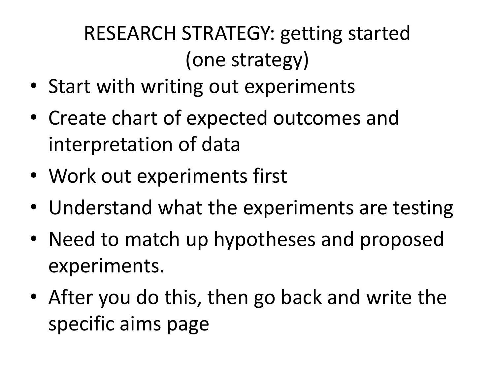### RESEARCH STRATEGY: getting started (one strategy)

- Start with writing out experiments
- Create chart of expected outcomes and interpretation of data
- Work out experiments first
- Understand what the experiments are testing
- Need to match up hypotheses and proposed experiments.
- After you do this, then go back and write the specific aims page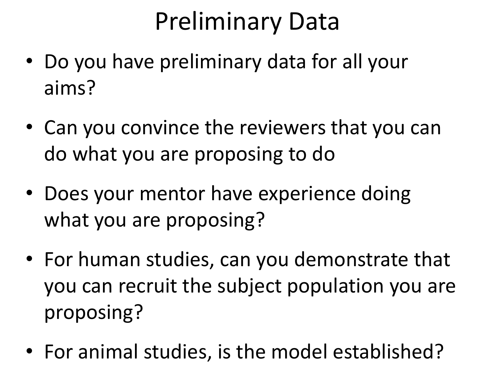### Preliminary Data

- Do you have preliminary data for all your aims?
- Can you convince the reviewers that you can do what you are proposing to do
- Does your mentor have experience doing what you are proposing?
- For human studies, can you demonstrate that you can recruit the subject population you are proposing?
- For animal studies, is the model established?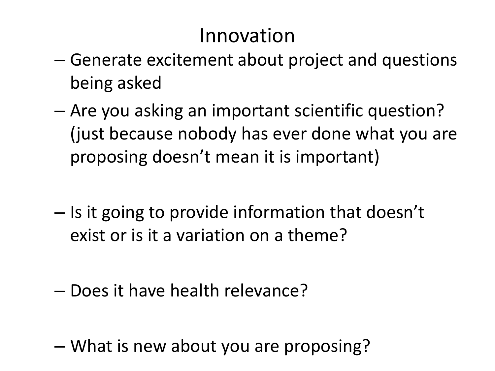#### Innovation

- Generate excitement about project and questions being asked
- Are you asking an important scientific question? (just because nobody has ever done what you are proposing doesn't mean it is important)
- Is it going to provide information that doesn't exist or is it a variation on a theme?
- Does it have health relevance?
- What is new about you are proposing?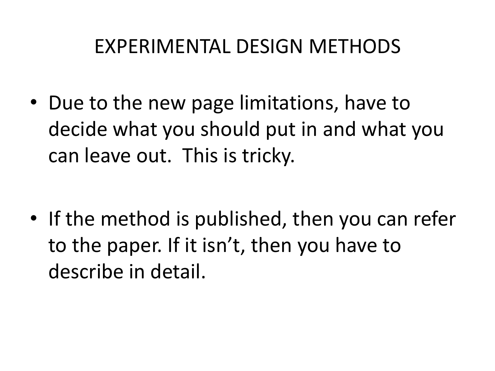#### EXPERIMENTAL DESIGN METHODS

• Due to the new page limitations, have to decide what you should put in and what you can leave out. This is tricky.

• If the method is published, then you can refer to the paper. If it isn't, then you have to describe in detail.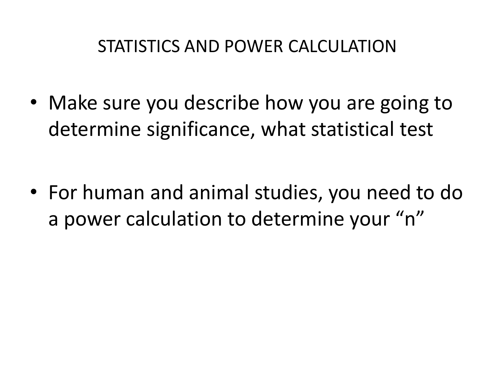#### STATISTICS AND POWER CALCULATION

• Make sure you describe how you are going to determine significance, what statistical test

• For human and animal studies, you need to do a power calculation to determine your "n"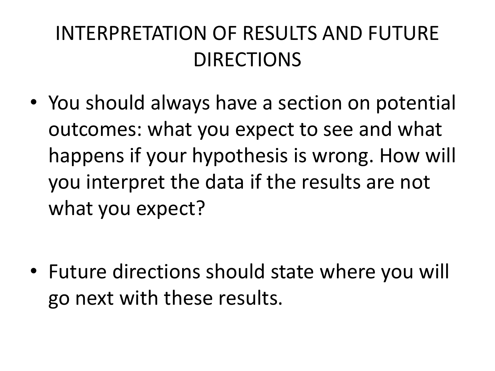### INTERPRETATION OF RESULTS AND FUTURE DIRECTIONS

• You should always have a section on potential outcomes: what you expect to see and what happens if your hypothesis is wrong. How will you interpret the data if the results are not what you expect?

• Future directions should state where you will go next with these results.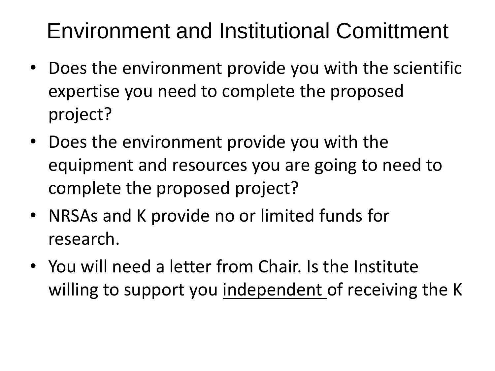### Environment and Institutional Comittment

- Does the environment provide you with the scientific expertise you need to complete the proposed project?
- Does the environment provide you with the equipment and resources you are going to need to complete the proposed project?
- NRSAs and K provide no or limited funds for research.
- You will need a letter from Chair. Is the Institute willing to support you independent of receiving the K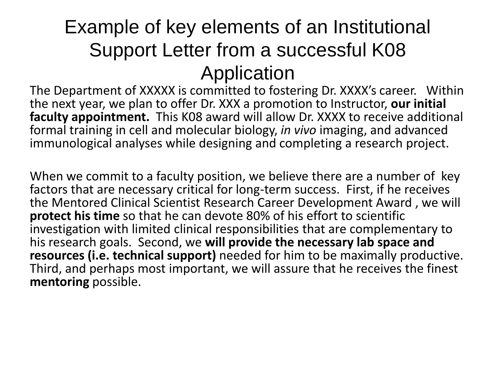#### Example of key elements of an Institutional Support Letter from a successful K08 Application

The Department of XXXXX is committed to fostering Dr. XXXX's career. Within the next year, we plan to offer Dr. XXX a promotion to Instructor, **our initial faculty appointment.** This K08 award will allow Dr. XXXX to receive additional formal training in cell and molecular biology, *in vivo* imaging, and advanced immunological analyses while designing and completing a research project.

When we commit to a faculty position, we believe there are a number of key factors that are necessary critical for long-term success. First, if he receives the Mentored Clinical Scientist Research Career Development Award , we will **protect his time** so that he can devote 80% of his effort to scientific investigation with limited clinical responsibilities that are complementary to his research goals. Second, we **will provide the necessary lab space and resources (i.e. technical support)** needed for him to be maximally productive. Third, and perhaps most important, we will assure that he receives the finest **mentoring** possible.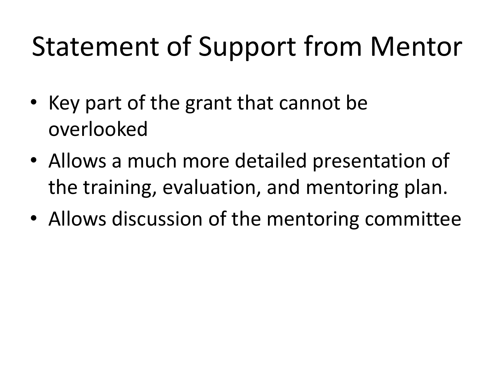### Statement of Support from Mentor

- Key part of the grant that cannot be overlooked
- Allows a much more detailed presentation of the training, evaluation, and mentoring plan.
- Allows discussion of the mentoring committee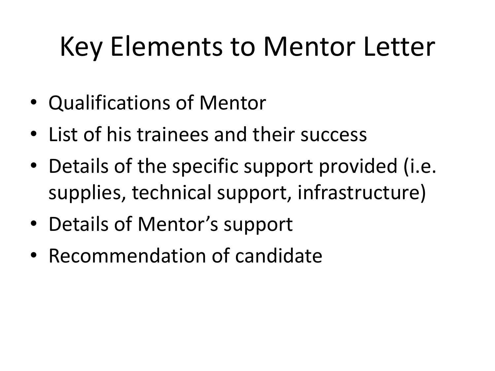## Key Elements to Mentor Letter

- Qualifications of Mentor
- List of his trainees and their success
- Details of the specific support provided (i.e. supplies, technical support, infrastructure)
- Details of Mentor's support
- Recommendation of candidate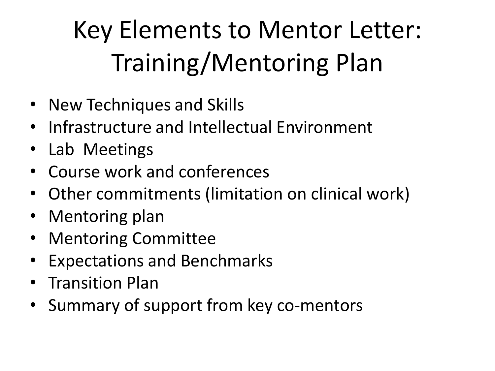### Key Elements to Mentor Letter: Training/Mentoring Plan

- New Techniques and Skills
- Infrastructure and Intellectual Environment
- Lab Meetings
- Course work and conferences
- Other commitments (limitation on clinical work)
- Mentoring plan
- Mentoring Committee
- Expectations and Benchmarks
- Transition Plan
- Summary of support from key co-mentors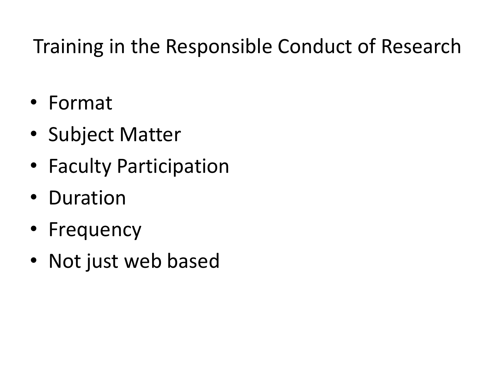#### Training in the Responsible Conduct of Research

- Format
- Subject Matter
- Faculty Participation
- Duration
- Frequency
- Not just web based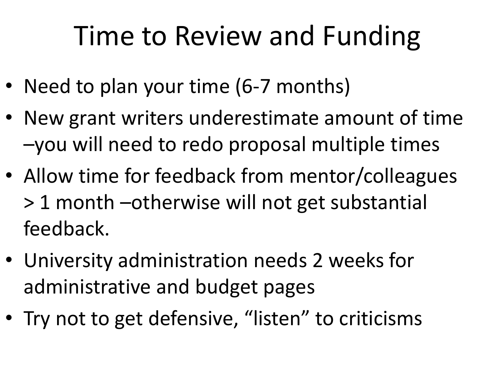## Time to Review and Funding

- Need to plan your time (6-7 months)
- New grant writers underestimate amount of time –you will need to redo proposal multiple times
- Allow time for feedback from mentor/colleagues > 1 month –otherwise will not get substantial feedback.
- University administration needs 2 weeks for administrative and budget pages
- Try not to get defensive, "listen" to criticisms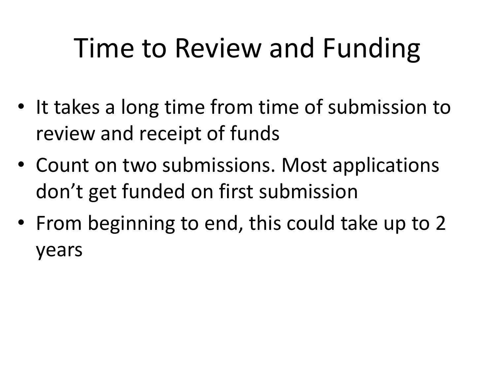## Time to Review and Funding

- It takes a long time from time of submission to review and receipt of funds
- Count on two submissions. Most applications don't get funded on first submission
- From beginning to end, this could take up to 2 years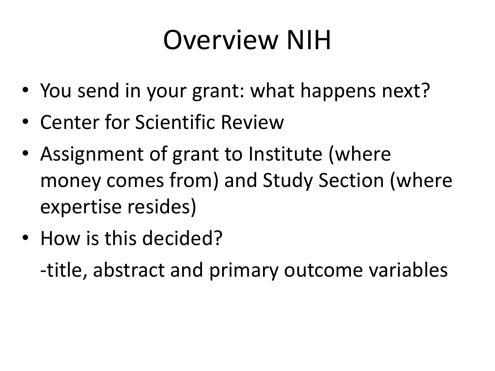### Overview NIH

- You send in your grant: what happens next?
- Center for Scientific Review
- Assignment of grant to Institute (where money comes from) and Study Section (where expertise resides)
- How is this decided?

-title, abstract and primary outcome variables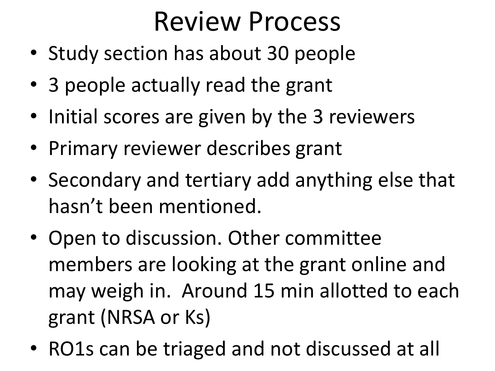### Review Process

- Study section has about 30 people
- 3 people actually read the grant
- Initial scores are given by the 3 reviewers
- Primary reviewer describes grant
- Secondary and tertiary add anything else that hasn't been mentioned.
- Open to discussion. Other committee members are looking at the grant online and may weigh in. Around 15 min allotted to each grant (NRSA or Ks)
- RO1s can be triaged and not discussed at all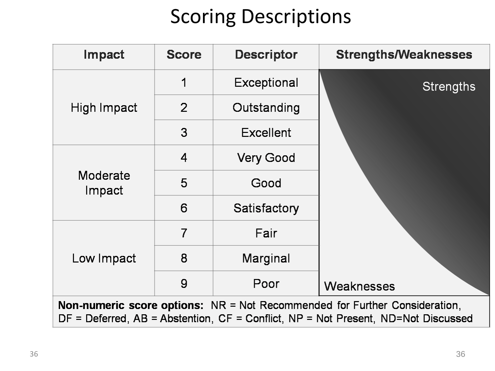#### Scoring Descriptions

| Impact                                                                                                                                                                                   | <b>Score</b>   | <b>Descriptor</b> | <b>Strengths/Weaknesses</b> |
|------------------------------------------------------------------------------------------------------------------------------------------------------------------------------------------|----------------|-------------------|-----------------------------|
| High Impact                                                                                                                                                                              | 1              | Exceptional       | <b>Strengths</b>            |
|                                                                                                                                                                                          | $\overline{2}$ | Outstanding       |                             |
|                                                                                                                                                                                          | 3              | <b>Excellent</b>  |                             |
| Moderate<br>Impact                                                                                                                                                                       | $\overline{4}$ | <b>Very Good</b>  |                             |
|                                                                                                                                                                                          | 5              | Good              |                             |
|                                                                                                                                                                                          | 6              | Satisfactory      |                             |
| Low Impact                                                                                                                                                                               | $\overline{7}$ | Fair              |                             |
|                                                                                                                                                                                          | 8              | Marginal          |                             |
|                                                                                                                                                                                          | 9              | Poor              | <b>Weaknesses</b>           |
| <b>Non-numeric score options:</b> $NR = Not$ Recommended for Further Consideration,<br>$DF = Deferred$ , $AB = Abstention$ , $CF = Conflict$ , $NP = Not Present$ , $ND = Not Discussed$ |                |                   |                             |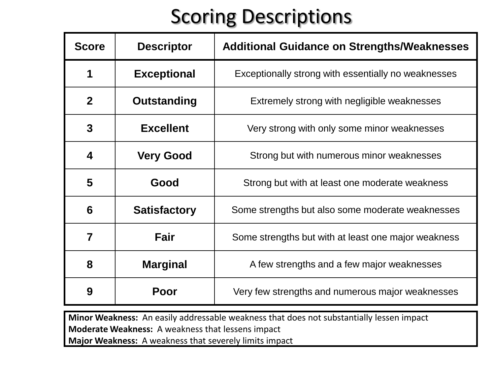#### Scoring Descriptions

| <b>Score</b>   | <b>Descriptor</b>   | <b>Additional Guidance on Strengths/Weaknesses</b>  |  |
|----------------|---------------------|-----------------------------------------------------|--|
| 1              | <b>Exceptional</b>  | Exceptionally strong with essentially no weaknesses |  |
| $\mathbf{2}$   | Outstanding         | Extremely strong with negligible weaknesses         |  |
| 3              | <b>Excellent</b>    | Very strong with only some minor weaknesses         |  |
| 4              | <b>Very Good</b>    | Strong but with numerous minor weaknesses           |  |
| 5              | Good                | Strong but with at least one moderate weakness      |  |
| 6              | <b>Satisfactory</b> | Some strengths but also some moderate weaknesses    |  |
| $\overline{7}$ | <b>Fair</b>         | Some strengths but with at least one major weakness |  |
| 8              | <b>Marginal</b>     | A few strengths and a few major weaknesses          |  |
| 9              | Poor                | Very few strengths and numerous major weaknesses    |  |

**Minor Weakness:** An easily addressable weakness that does not substantially lessen impact **Moderate Weakness:** A weakness that lessens impact **Major Weakness:** A weakness that severely limits impact